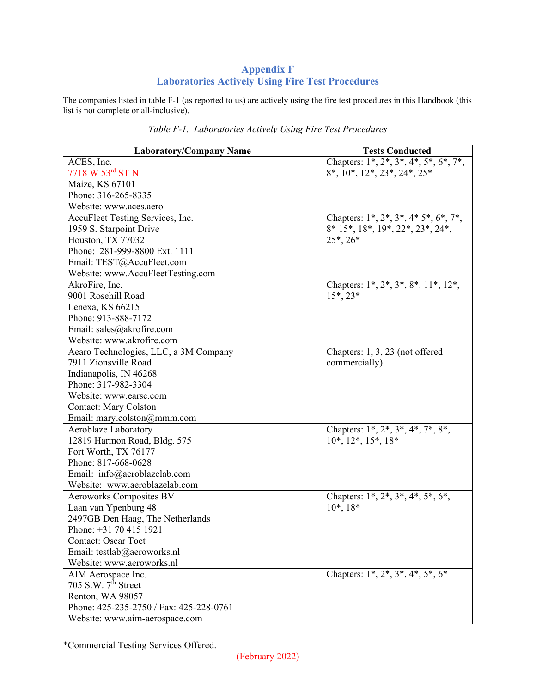## **Appendix F Laboratories Actively Using Fire Test Procedures**

The companies listed in table F-1 (as reported to us) are actively using the fire test procedures in this Handbook (this list is not complete or all-inclusive).

| <b>Laboratory/Company Name</b>          | <b>Tests Conducted</b>                         |
|-----------------------------------------|------------------------------------------------|
| ACES, Inc.                              | Chapters: $1^*, 2^*, 3^*, 4^*, 5^*, 6^*, 7^*,$ |
| $7718 W 53^{rd} STN$                    | $8^*, 10^*, 12^*, 23^*, 24^*, 25^*$            |
| Maize, KS 67101                         |                                                |
| Phone: 316-265-8335                     |                                                |
| Website: www.aces.aero                  |                                                |
| AccuFleet Testing Services, Inc.        | Chapters: $1^*, 2^*, 3^*, 4^* 5^*, 6^*, 7^*,$  |
| 1959 S. Starpoint Drive                 | 8* 15*, 18*, 19*, 22*, 23*, 24*,               |
| Houston, TX 77032                       | $25^*$ , $26^*$                                |
| Phone: 281-999-8800 Ext. 1111           |                                                |
| Email: TEST@AccuFleet.com               |                                                |
| Website: www.AccuFleetTesting.com       |                                                |
| AkroFire, Inc.                          | Chapters: 1*, 2*, 3*, 8*. 11*, 12*,            |
| 9001 Rosehill Road                      | $15^*$ , $23^*$                                |
| Lenexa, KS 66215                        |                                                |
| Phone: 913-888-7172                     |                                                |
| Email: sales@akrofire.com               |                                                |
| Website: www.akrofire.com               |                                                |
| Aearo Technologies, LLC, a 3M Company   | Chapters: 1, 3, 23 (not offered                |
| 7911 Zionsville Road                    | commercially)                                  |
| Indianapolis, IN 46268                  |                                                |
| Phone: 317-982-3304                     |                                                |
| Website: www.earsc.com                  |                                                |
| <b>Contact: Mary Colston</b>            |                                                |
| Email: mary.colston@mmm.com             |                                                |
| Aeroblaze Laboratory                    | Chapters: 1*, 2*, 3*, 4*, 7*, 8*,              |
| 12819 Harmon Road, Bldg. 575            | $10^*, 12^*, 15^*, 18^*$                       |
| Fort Worth, TX 76177                    |                                                |
| Phone: 817-668-0628                     |                                                |
| Email: info@aeroblazelab.com            |                                                |
| Website: www.aeroblazelab.com           |                                                |
| <b>Aeroworks Composites BV</b>          | Chapters: $1^*, 2^*, 3^*, 4^*, 5^*, 6^*,$      |
| Laan van Ypenburg 48                    | $10^*, 18^*$                                   |
| 2497GB Den Haag, The Netherlands        |                                                |
| Phone: +31 70 415 1921                  |                                                |
| Contact: Oscar Toet                     |                                                |
| Email: testlab@aeroworks.nl             |                                                |
| Website: www.aeroworks.nl               |                                                |
| AIM Aerospace Inc.                      | Chapters: $1^*, 2^*, 3^*, 4^*, 5^*, 6^*$       |
| 705 S.W. $7^{\overline{th}}$ Street     |                                                |
| Renton, WA 98057                        |                                                |
| Phone: 425-235-2750 / Fax: 425-228-0761 |                                                |
| Website: www.aim-aerospace.com          |                                                |

*Table F-1. Laboratories Actively Using Fire Test Procedures*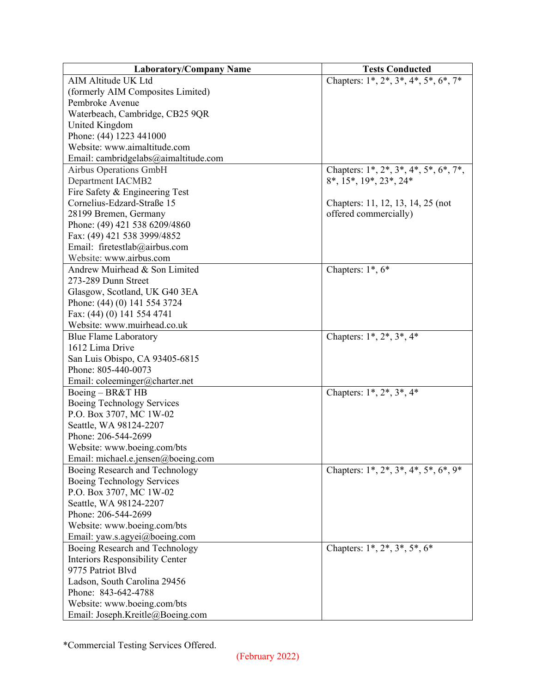| <b>Laboratory/Company Name</b>         | <b>Tests Conducted</b>                         |
|----------------------------------------|------------------------------------------------|
| AIM Altitude UK Ltd                    | Chapters: $1^*, 2^*, 3^*, 4^*, 5^*, 6^*, 7^*$  |
| (formerly AIM Composites Limited)      |                                                |
| Pembroke Avenue                        |                                                |
| Waterbeach, Cambridge, CB25 9QR        |                                                |
| United Kingdom                         |                                                |
| Phone: (44) 1223 441000                |                                                |
| Website: www.aimaltitude.com           |                                                |
| Email: cambridgelabs@aimaltitude.com   |                                                |
| Airbus Operations GmbH                 | Chapters: $1^*, 2^*, 3^*, 4^*, 5^*, 6^*, 7^*,$ |
| Department IACMB2                      | $8^*$ , $15^*$ , $19^*$ , $23^*$ , $24^*$      |
| Fire Safety & Engineering Test         |                                                |
| Cornelius-Edzard-Straße 15             | Chapters: 11, 12, 13, 14, 25 (not              |
| 28199 Bremen, Germany                  | offered commercially)                          |
| Phone: (49) 421 538 6209/4860          |                                                |
| Fax: (49) 421 538 3999/4852            |                                                |
| Email: firetestlab@airbus.com          |                                                |
| Website: www.airbus.com                |                                                |
| Andrew Muirhead & Son Limited          | Chapters: $1^*, 6^*$                           |
| 273-289 Dunn Street                    |                                                |
| Glasgow, Scotland, UK G40 3EA          |                                                |
| Phone: (44) (0) 141 554 3724           |                                                |
| Fax: (44) (0) 141 554 4741             |                                                |
| Website: www.muirhead.co.uk            |                                                |
| <b>Blue Flame Laboratory</b>           | Chapters: $1^*$ , $2^*$ , $3^*$ , $4^*$        |
| 1612 Lima Drive                        |                                                |
| San Luis Obispo, CA 93405-6815         |                                                |
| Phone: 805-440-0073                    |                                                |
| Email: coleeminger@charter.net         |                                                |
| Boeing - BR&T HB                       | Chapters: $1^*$ , $2^*$ , $3^*$ , $4^*$        |
| Boeing Technology Services             |                                                |
| P.O. Box 3707, MC 1W-02                |                                                |
| Seattle, WA 98124-2207                 |                                                |
| Phone: 206-544-2699                    |                                                |
| Website: www.boeing.com/bts            |                                                |
| Email: michael.e.jensen@boeing.com     |                                                |
| Boeing Research and Technology         | Chapters: $1^*, 2^*, 3^*, 4^*, 5^*, 6^*, 9^*$  |
| Boeing Technology Services             |                                                |
| P.O. Box 3707, MC 1W-02                |                                                |
| Seattle, WA 98124-2207                 |                                                |
| Phone: 206-544-2699                    |                                                |
| Website: www.boeing.com/bts            |                                                |
| Email: yaw.s.agyei@boeing.com          |                                                |
| Boeing Research and Technology         | Chapters: $1^*, 2^*, 3^*, 5^*, 6^*$            |
| <b>Interiors Responsibility Center</b> |                                                |
| 9775 Patriot Blvd                      |                                                |
| Ladson, South Carolina 29456           |                                                |
| Phone: 843-642-4788                    |                                                |
| Website: www.boeing.com/bts            |                                                |
| Email: Joseph.Kreitle@Boeing.com       |                                                |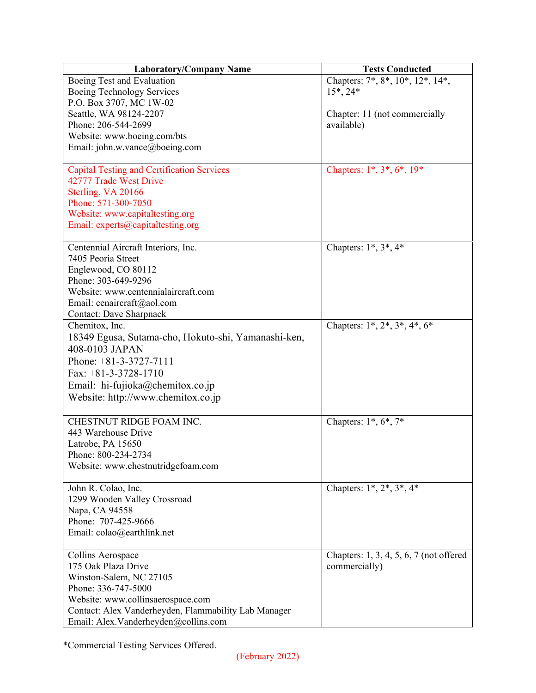| <b>Laboratory/Company Name</b>                       | <b>Tests Conducted</b>                  |
|------------------------------------------------------|-----------------------------------------|
| Boeing Test and Evaluation                           | Chapters: 7*, 8*, 10*, 12*, 14*,        |
| Boeing Technology Services                           | $15^*$ , 24*                            |
| P.O. Box 3707, MC 1W-02                              |                                         |
| Seattle, WA 98124-2207                               | Chapter: 11 (not commercially           |
| Phone: 206-544-2699                                  | available)                              |
| Website: www.boeing.com/bts                          |                                         |
| Email: john.w.vance@boeing.com                       |                                         |
|                                                      |                                         |
| <b>Capital Testing and Certification Services</b>    | Chapters: 1*, 3*, 6*, 19*               |
| 42777 Trade West Drive                               |                                         |
| Sterling, VA 20166                                   |                                         |
| Phone: 571-300-7050                                  |                                         |
| Website: www.capitaltesting.org                      |                                         |
| Email: experts@capitaltesting.org                    |                                         |
|                                                      |                                         |
| Centennial Aircraft Interiors, Inc.                  | Chapters: $1^*, 3^*, 4^*$               |
| 7405 Peoria Street                                   |                                         |
| Englewood, CO 80112                                  |                                         |
| Phone: 303-649-9296                                  |                                         |
| Website: www.centennialaircraft.com                  |                                         |
| Email: cenaircraft@aol.com                           |                                         |
| <b>Contact: Dave Sharpnack</b>                       |                                         |
| Chemitox, Inc.                                       | Chapters: $1^*, 2^*, 3^*, 4^*, 6^*$     |
| 18349 Egusa, Sutama-cho, Hokuto-shi, Yamanashi-ken,  |                                         |
| 408-0103 JAPAN                                       |                                         |
| Phone: $+81-3-3727-7111$                             |                                         |
| Fax: $+81-3-3728-1710$                               |                                         |
| Email: hi-fujioka@chemitox.co.jp                     |                                         |
| Website: http://www.chemitox.co.jp                   |                                         |
|                                                      |                                         |
| CHESTNUT RIDGE FOAM INC.                             | Chapters: $1^*, 6^*, 7^*$               |
| 443 Warehouse Drive                                  |                                         |
| Latrobe, PA 15650                                    |                                         |
| Phone: 800-234-2734                                  |                                         |
| Website: www.chestnutridgefoam.com                   |                                         |
|                                                      |                                         |
| John R. Colao, Inc.                                  | Chapters: $1^*, 2^*, 3^*, 4^*$          |
| 1299 Wooden Valley Crossroad                         |                                         |
| Napa, CA 94558                                       |                                         |
| Phone: 707-425-9666                                  |                                         |
| Email: colao@earthlink.net                           |                                         |
|                                                      |                                         |
| Collins Aerospace                                    | Chapters: 1, 3, 4, 5, 6, 7 (not offered |
| 175 Oak Plaza Drive                                  | commercially)                           |
| Winston-Salem, NC 27105                              |                                         |
| Phone: 336-747-5000                                  |                                         |
| Website: www.collinsaerospace.com                    |                                         |
| Contact: Alex Vanderheyden, Flammability Lab Manager |                                         |
| Email: Alex.Vanderheyden@collins.com                 |                                         |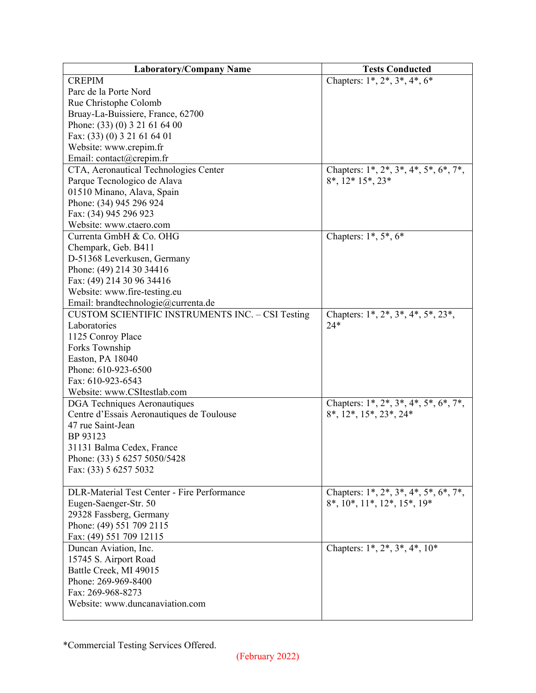| <b>Laboratory/Company Name</b>                          | <b>Tests Conducted</b>                             |
|---------------------------------------------------------|----------------------------------------------------|
| <b>CREPIM</b>                                           | Chapters: $1^*, 2^*, 3^*, 4^*, 6^*$                |
| Parc de la Porte Nord                                   |                                                    |
| Rue Christophe Colomb                                   |                                                    |
| Bruay-La-Buissiere, France, 62700                       |                                                    |
| Phone: (33) (0) 3 21 61 64 00                           |                                                    |
| Fax: (33) (0) 3 21 61 64 01                             |                                                    |
| Website: www.crepim.fr                                  |                                                    |
| Email: contact@crepim.fr                                |                                                    |
| CTA, Aeronautical Technologies Center                   | Chapters: $1^*, 2^*, 3^*, 4^*, 5^*, 6^*, 7^*,$     |
| Parque Tecnologico de Alava                             | $8^*$ , $12^*$ $15^*$ , $23^*$                     |
| 01510 Minano, Alava, Spain                              |                                                    |
| Phone: (34) 945 296 924                                 |                                                    |
| Fax: (34) 945 296 923                                   |                                                    |
| Website: www.ctaero.com                                 |                                                    |
| Currenta GmbH & Co. OHG                                 | Chapters: $1^*, 5^*, 6^*$                          |
| Chempark, Geb. B411                                     |                                                    |
| D-51368 Leverkusen, Germany                             |                                                    |
| Phone: (49) 214 30 34416                                |                                                    |
| Fax: (49) 214 30 96 34416                               |                                                    |
| Website: www.fire-testing.eu                            |                                                    |
| Email: brandtechnologie@currenta.de                     |                                                    |
| <b>CUSTOM SCIENTIFIC INSTRUMENTS INC. - CSI Testing</b> | Chapters: $1^*, 2^*, 3^*, 4^*, 5^*, 23^*,$         |
| Laboratories                                            | $24*$                                              |
| 1125 Conroy Place                                       |                                                    |
| Forks Township                                          |                                                    |
| Easton, PA 18040                                        |                                                    |
| Phone: 610-923-6500                                     |                                                    |
| Fax: 610-923-6543                                       |                                                    |
| Website: www.CSItestlab.com                             |                                                    |
| DGA Techniques Aeronautiques                            | Chapters: $1^*, 2^*, 3^*, 4^*, 5^*, 6^*, 7^*,$     |
| Centre d'Essais Aeronautiques de Toulouse               | 8*, 12*, 15*, 23*, 24*                             |
| 47 rue Saint-Jean                                       |                                                    |
| BP 93123                                                |                                                    |
| 31131 Balma Cedex, France                               |                                                    |
|                                                         |                                                    |
| Phone: (33) 5 6257 5050/5428<br>Fax: (33) 5 6257 5032   |                                                    |
|                                                         |                                                    |
| <b>DLR-Material Test Center - Fire Performance</b>      | Chapters: 1*, 2*, 3*, 4*, 5*, 6*, 7*,              |
|                                                         | $8^*$ , $10^*$ , $11^*$ , $12^*$ , $15^*$ , $19^*$ |
| Eugen-Saenger-Str. 50                                   |                                                    |
| 29328 Fassberg, Germany                                 |                                                    |
| Phone: (49) 551 709 2115                                |                                                    |
| Fax: (49) 551 709 12115                                 |                                                    |
| Duncan Aviation, Inc.                                   | Chapters: $1^*$ , $2^*$ , $3^*$ , $4^*$ , $10^*$   |
| 15745 S. Airport Road                                   |                                                    |
| Battle Creek, MI 49015                                  |                                                    |
| Phone: 269-969-8400                                     |                                                    |
| Fax: 269-968-8273                                       |                                                    |
| Website: www.duncanaviation.com                         |                                                    |
|                                                         |                                                    |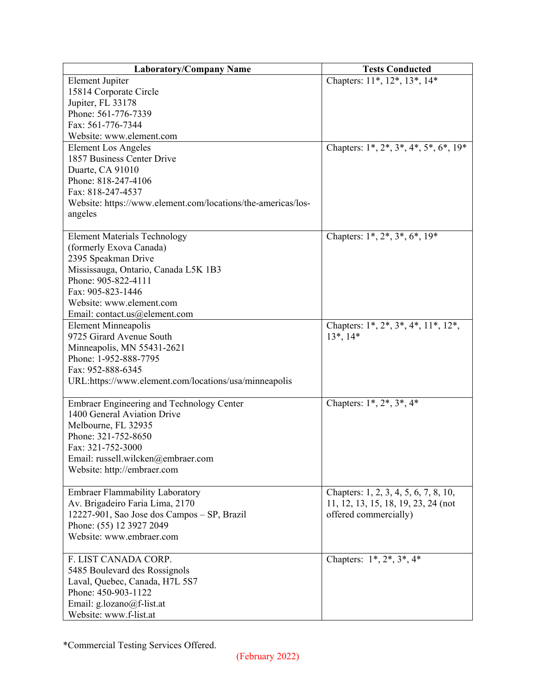| <b>Laboratory/Company Name</b>                               | <b>Tests Conducted</b>                         |
|--------------------------------------------------------------|------------------------------------------------|
| <b>Element Jupiter</b>                                       | Chapters: 11*, 12*, 13*, 14*                   |
| 15814 Corporate Circle                                       |                                                |
| Jupiter, FL 33178                                            |                                                |
| Phone: 561-776-7339                                          |                                                |
| Fax: 561-776-7344                                            |                                                |
| Website: www.element.com                                     |                                                |
| <b>Element Los Angeles</b>                                   | Chapters: $1^*, 2^*, 3^*, 4^*, 5^*, 6^*, 19^*$ |
| 1857 Business Center Drive                                   |                                                |
| Duarte, CA 91010                                             |                                                |
| Phone: 818-247-4106                                          |                                                |
| Fax: 818-247-4537                                            |                                                |
| Website: https://www.element.com/locations/the-americas/los- |                                                |
| angeles                                                      |                                                |
|                                                              |                                                |
| <b>Element Materials Technology</b>                          | Chapters: 1*, 2*, 3*, 6*, 19*                  |
| (formerly Exova Canada)                                      |                                                |
| 2395 Speakman Drive                                          |                                                |
| Mississauga, Ontario, Canada L5K 1B3                         |                                                |
| Phone: 905-822-4111                                          |                                                |
| Fax: 905-823-1446                                            |                                                |
| Website: www.element.com                                     |                                                |
| Email: contact.us@element.com                                |                                                |
| <b>Element Minneapolis</b>                                   | Chapters: 1*, 2*, 3*, 4*, 11*, 12*,            |
| 9725 Girard Avenue South                                     | $13^*$ , $14^*$                                |
| Minneapolis, MN 55431-2621                                   |                                                |
| Phone: 1-952-888-7795                                        |                                                |
| Fax: 952-888-6345                                            |                                                |
| URL:https://www.element.com/locations/usa/minneapolis        |                                                |
|                                                              |                                                |
| <b>Embraer Engineering and Technology Center</b>             | Chapters: $1^*$ , $2^*$ , $3^*$ , $4^*$        |
| 1400 General Aviation Drive                                  |                                                |
| Melbourne, FL 32935                                          |                                                |
| Phone: 321-752-8650                                          |                                                |
| Fax: 321-752-3000                                            |                                                |
| Email: russell.wilcken@embraer.com                           |                                                |
| Website: http://embraer.com                                  |                                                |
|                                                              |                                                |
| Embraer Flammability Laboratory                              | Chapters: 1, 2, 3, 4, 5, 6, 7, 8, 10,          |
| Av. Brigadeiro Faria Lima, 2170                              | 11, 12, 13, 15, 18, 19, 23, 24 (not            |
| 12227-901, Sao Jose dos Campos - SP, Brazil                  | offered commercially)                          |
| Phone: (55) 12 3927 2049                                     |                                                |
| Website: www.embraer.com                                     |                                                |
|                                                              |                                                |
| F. LIST CANADA CORP.                                         | Chapters: $1^*, 2^*, 3^*, 4^*$                 |
| 5485 Boulevard des Rossignols                                |                                                |
| Laval, Quebec, Canada, H7L 5S7                               |                                                |
| Phone: 450-903-1122                                          |                                                |
| Email: g.lozano@f-list.at                                    |                                                |
| Website: www.f-list.at                                       |                                                |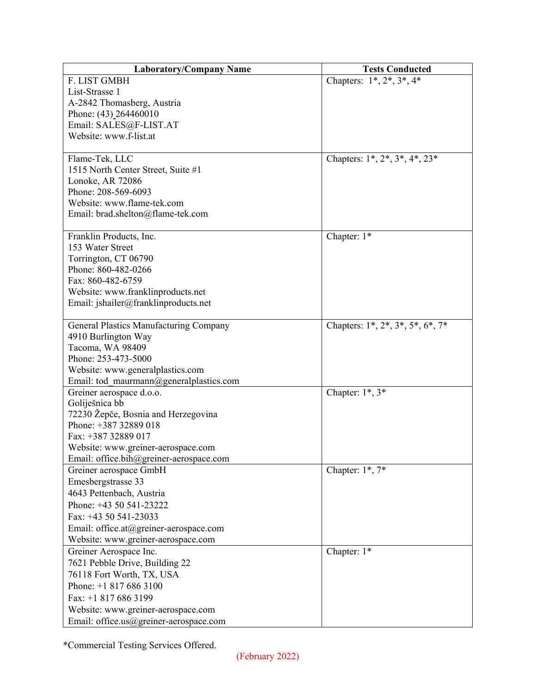| <b>Laboratory/Company Name</b>              | <b>Tests Conducted</b>                   |
|---------------------------------------------|------------------------------------------|
| F. LIST GMBH                                | Chapters: $1^*, 2^*, 3^*, 4^*$           |
| List-Strasse 1                              |                                          |
| A-2842 Thomasberg, Austria                  |                                          |
| Phone: (43) 264460010                       |                                          |
| Email: SALES@F-LIST.AT                      |                                          |
| Website: www.f-list.at                      |                                          |
|                                             |                                          |
| Flame-Tek, LLC                              | Chapters: $1^*, 2^*, 3^*, 4^*, 23^*$     |
| 1515 North Center Street, Suite #1          |                                          |
| Lonoke, AR 72086                            |                                          |
| Phone: 208-569-6093                         |                                          |
| Website: www.flame-tek.com                  |                                          |
| Email: brad.shelton@flame-tek.com           |                                          |
|                                             |                                          |
| Franklin Products, Inc.<br>153 Water Street | Chapter: 1*                              |
| Torrington, CT 06790                        |                                          |
| Phone: 860-482-0266                         |                                          |
| Fax: 860-482-6759                           |                                          |
| Website: www.franklinproducts.net           |                                          |
| Email: jshailer@franklinproducts.net        |                                          |
|                                             |                                          |
| General Plastics Manufacturing Company      | Chapters: $1^*, 2^*, 3^*, 5^*, 6^*, 7^*$ |
| 4910 Burlington Way                         |                                          |
| Tacoma, WA 98409                            |                                          |
| Phone: 253-473-5000                         |                                          |
| Website: www.generalplastics.com            |                                          |
| Email: tod maurmann@generalplastics.com     |                                          |
| Greiner aerospace d.o.o.                    | Chapter: $1^*$ , $3^*$                   |
| Goliješnica bb                              |                                          |
| 72230 Žepče, Bosnia and Herzegovina         |                                          |
| Phone: +387 32889 018                       |                                          |
| Fax: +387 32889 017                         |                                          |
| Website: www.greiner-aerospace.com          |                                          |
| Email: office.bih@greiner-aerospace.com     |                                          |
| Greiner aerospace GmbH                      | Chapter: $1^*$ , $7^*$                   |
| Emesbergstrasse 33                          |                                          |
| 4643 Pettenbach, Austria                    |                                          |
| Phone: +43 50 541-23222                     |                                          |
| Fax: $+4350541-23033$                       |                                          |
| Email: office.at@greiner-aerospace.com      |                                          |
| Website: www.greiner-aerospace.com          |                                          |
| Greiner Aerospace Inc.                      | Chapter: 1*                              |
| 7621 Pebble Drive, Building 22              |                                          |
| 76118 Fort Worth, TX, USA                   |                                          |
| Phone: $+18176863100$                       |                                          |
| Fax: +1 817 686 3199                        |                                          |
| Website: www.greiner-aerospace.com          |                                          |
| Email: office.us@greiner-aerospace.com      |                                          |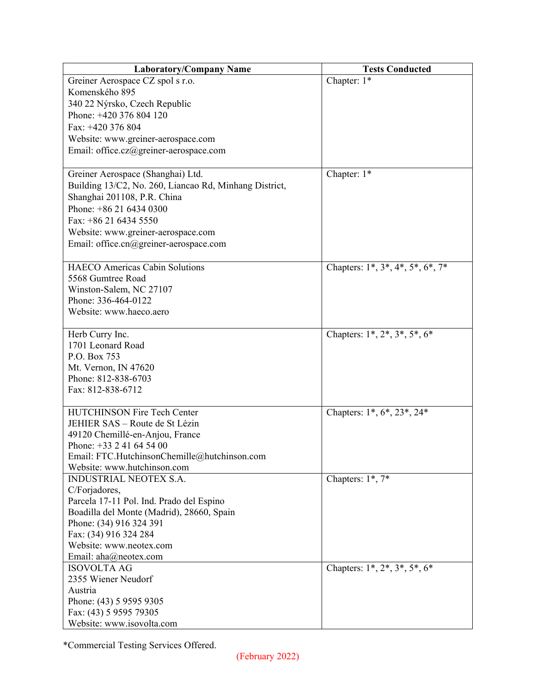| <b>Laboratory/Company Name</b>                         | <b>Tests Conducted</b>              |
|--------------------------------------------------------|-------------------------------------|
| Greiner Aerospace CZ spol s r.o.                       | Chapter: 1*                         |
| Komenského 895                                         |                                     |
| 340 22 Nýrsko, Czech Republic                          |                                     |
| Phone: +420 376 804 120                                |                                     |
| Fax: +420 376 804                                      |                                     |
| Website: www.greiner-aerospace.com                     |                                     |
| Email: office.cz@greiner-aerospace.com                 |                                     |
|                                                        |                                     |
| Greiner Aerospace (Shanghai) Ltd.                      | Chapter: 1*                         |
| Building 13/C2, No. 260, Liancao Rd, Minhang District, |                                     |
| Shanghai 201108, P.R. China                            |                                     |
| Phone: $+862164340300$                                 |                                     |
| Fax: +86 21 6434 5550                                  |                                     |
| Website: www.greiner-aerospace.com                     |                                     |
| Email: office.cn@greiner-aerospace.com                 |                                     |
|                                                        |                                     |
| <b>HAECO</b> Americas Cabin Solutions                  | Chapters: 1*, 3*, 4*, 5*, 6*, 7*    |
| 5568 Gumtree Road                                      |                                     |
| Winston-Salem, NC 27107                                |                                     |
| Phone: 336-464-0122                                    |                                     |
| Website: www.haeco.aero                                |                                     |
|                                                        |                                     |
| Herb Curry Inc.                                        | Chapters: $1^*, 2^*, 3^*, 5^*, 6^*$ |
| 1701 Leonard Road                                      |                                     |
| P.O. Box 753                                           |                                     |
| Mt. Vernon, IN 47620                                   |                                     |
| Phone: 812-838-6703                                    |                                     |
| Fax: 812-838-6712                                      |                                     |
|                                                        |                                     |
| <b>HUTCHINSON Fire Tech Center</b>                     | Chapters: 1*, 6*, 23*, 24*          |
| JEHIER SAS - Route de St Lézin                         |                                     |
| 49120 Chemillé-en-Anjou, France                        |                                     |
| Phone: $+33$ 2 41 64 54 00                             |                                     |
| Email: FTC.HutchinsonChemille@hutchinson.com           |                                     |
| Website: www.hutchinson.com                            |                                     |
| INDUSTRIAL NEOTEX S.A.                                 | Chapters: 1*, 7*                    |
| C/Forjadores,                                          |                                     |
| Parcela 17-11 Pol. Ind. Prado del Espino               |                                     |
| Boadilla del Monte (Madrid), 28660, Spain              |                                     |
| Phone: (34) 916 324 391                                |                                     |
| Fax: (34) 916 324 284                                  |                                     |
| Website: www.neotex.com                                |                                     |
| Email: aha@neotex.com                                  |                                     |
| <b>ISOVOLTA AG</b>                                     | Chapters: $1^*, 2^*, 3^*, 5^*, 6^*$ |
| 2355 Wiener Neudorf                                    |                                     |
| Austria                                                |                                     |
| Phone: (43) 5 9595 9305                                |                                     |
| Fax: (43) 5 9595 79305                                 |                                     |
| Website: www.isovolta.com                              |                                     |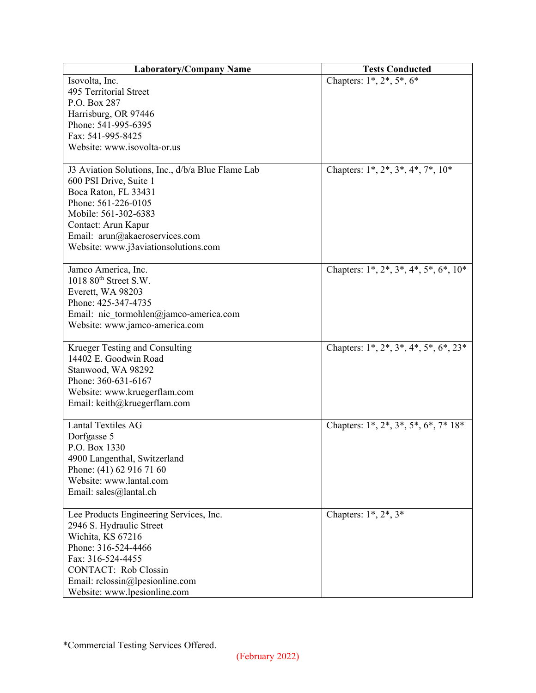| <b>Laboratory/Company Name</b>                    | <b>Tests Conducted</b>                         |
|---------------------------------------------------|------------------------------------------------|
| Isovolta, Inc.                                    | Chapters: $1^*$ , $2^*$ , $5^*$ , $6^*$        |
| 495 Territorial Street                            |                                                |
| P.O. Box 287                                      |                                                |
| Harrisburg, OR 97446                              |                                                |
| Phone: 541-995-6395                               |                                                |
| Fax: 541-995-8425                                 |                                                |
| Website: www.isovolta-or.us                       |                                                |
|                                                   |                                                |
| J3 Aviation Solutions, Inc., d/b/a Blue Flame Lab | Chapters: $1^*, 2^*, 3^*, 4^*, 7^*, 10^*$      |
| 600 PSI Drive, Suite 1                            |                                                |
| Boca Raton, FL 33431                              |                                                |
| Phone: 561-226-0105                               |                                                |
| Mobile: 561-302-6383                              |                                                |
| Contact: Arun Kapur                               |                                                |
| Email: arun@akaeroservices.com                    |                                                |
| Website: www.j3aviationsolutions.com              |                                                |
|                                                   |                                                |
| Jamco America, Inc.                               | Chapters: $1^*, 2^*, 3^*, 4^*, 5^*, 6^*, 10^*$ |
| $1018~80$ <sup>th</sup> Street S.W.               |                                                |
| Everett, WA 98203                                 |                                                |
| Phone: 425-347-4735                               |                                                |
| Email: nic tormohlen@jamco-america.com            |                                                |
| Website: www.jamco-america.com                    |                                                |
| Krueger Testing and Consulting                    | Chapters: $1^*, 2^*, 3^*, 4^*, 5^*, 6^*, 23^*$ |
| 14402 E. Goodwin Road                             |                                                |
| Stanwood, WA 98292                                |                                                |
| Phone: 360-631-6167                               |                                                |
| Website: www.kruegerflam.com                      |                                                |
| Email: keith@kruegerflam.com                      |                                                |
|                                                   |                                                |
| <b>Lantal Textiles AG</b>                         | Chapters: 1*, 2*, 3*, 5*, 6*, 7* 18*           |
| Dorfgasse 5                                       |                                                |
| P.O. Box 1330                                     |                                                |
| 4900 Langenthal, Switzerland                      |                                                |
| Phone: (41) 62 916 71 60                          |                                                |
| Website: www.lantal.com                           |                                                |
| Email: sales@lantal.ch                            |                                                |
|                                                   |                                                |
| Lee Products Engineering Services, Inc.           | Chapters: $1^*, 2^*, 3^*$                      |
| 2946 S. Hydraulic Street                          |                                                |
| Wichita, KS 67216                                 |                                                |
| Phone: 316-524-4466                               |                                                |
| Fax: 316-524-4455                                 |                                                |
| <b>CONTACT:</b> Rob Clossin                       |                                                |
| Email: rclossin@lpesionline.com                   |                                                |
| Website: www.lpesionline.com                      |                                                |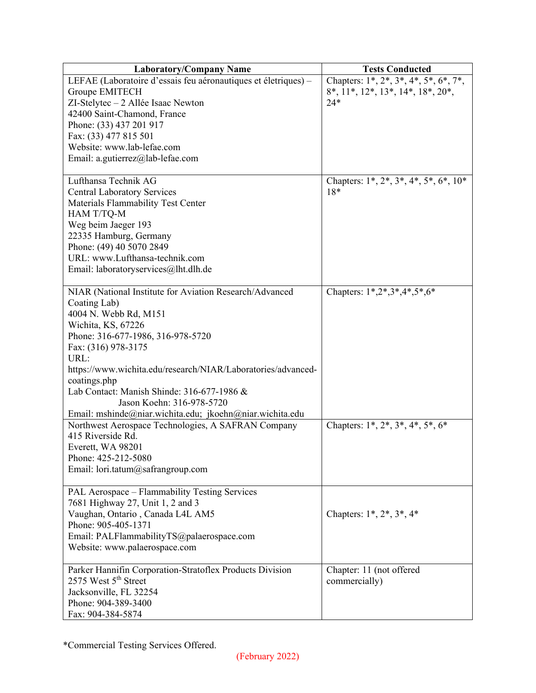| <b>Laboratory/Company Name</b>                                          | <b>Tests Conducted</b>                         |
|-------------------------------------------------------------------------|------------------------------------------------|
| LEFAE (Laboratoire d'essais feu aéronautiques et életriques) –          | Chapters: $1^*, 2^*, 3^*, 4^*, 5^*, 6^*, 7^*,$ |
| Groupe EMITECH                                                          | $8^*, 11^*, 12^*, 13^*, 14^*, 18^*, 20^*,$     |
| ZI-Stelytec - 2 Allée Isaac Newton                                      | $24*$                                          |
| 42400 Saint-Chamond, France                                             |                                                |
| Phone: (33) 437 201 917                                                 |                                                |
| Fax: (33) 477 815 501                                                   |                                                |
| Website: www.lab-lefae.com                                              |                                                |
| Email: a.gutierrez@lab-lefae.com                                        |                                                |
|                                                                         |                                                |
| Lufthansa Technik AG                                                    | Chapters: $1^*, 2^*, 3^*, 4^*, 5^*, 6^*, 10^*$ |
| <b>Central Laboratory Services</b>                                      | $18*$                                          |
| Materials Flammability Test Center                                      |                                                |
| HAM T/TQ-M                                                              |                                                |
| Weg beim Jaeger 193                                                     |                                                |
| 22335 Hamburg, Germany                                                  |                                                |
| Phone: (49) 40 5070 2849                                                |                                                |
| URL: www.Lufthansa-technik.com                                          |                                                |
| Email: laboratoryservices@lht.dlh.de                                    |                                                |
|                                                                         |                                                |
| NIAR (National Institute for Aviation Research/Advanced                 | Chapters: 1*,2*,3*,4*,5*,6*                    |
| Coating Lab)                                                            |                                                |
| 4004 N. Webb Rd, M151                                                   |                                                |
| Wichita, KS, 67226                                                      |                                                |
| Phone: 316-677-1986, 316-978-5720                                       |                                                |
| Fax: (316) 978-3175                                                     |                                                |
| URL:                                                                    |                                                |
| https://www.wichita.edu/research/NIAR/Laboratories/advanced-            |                                                |
| coatings.php                                                            |                                                |
| Lab Contact: Manish Shinde: 316-677-1986 &                              |                                                |
| Jason Koehn: 316-978-5720                                               |                                                |
|                                                                         |                                                |
| Email: mshinde@niar.wichita.edu; jkoehn@niar.wichita.edu                |                                                |
| Northwest Aerospace Technologies, A SAFRAN Company<br>415 Riverside Rd. | Chapters: $1^*, 2^*, 3^*, 4^*, 5^*, 6^*$       |
|                                                                         |                                                |
| Everett, WA 98201                                                       |                                                |
| Phone: 425-212-5080                                                     |                                                |
| Email: lori.tatum@safrangroup.com                                       |                                                |
| PAL Aerospace - Flammability Testing Services                           |                                                |
| 7681 Highway 27, Unit 1, 2 and 3                                        |                                                |
| Vaughan, Ontario, Canada L4L AM5                                        | Chapters: $1^*$ , $2^*$ , $3^*$ , $4^*$        |
| Phone: 905-405-1371                                                     |                                                |
|                                                                         |                                                |
| Email: PALFlammabilityTS@palaerospace.com                               |                                                |
| Website: www.palaerospace.com                                           |                                                |
| Parker Hannifin Corporation-Stratoflex Products Division                | Chapter: 11 (not offered                       |
| 2575 West 5 <sup>th</sup> Street                                        | commercially)                                  |
| Jacksonville, FL 32254                                                  |                                                |
| Phone: 904-389-3400                                                     |                                                |
| Fax: 904-384-5874                                                       |                                                |
|                                                                         |                                                |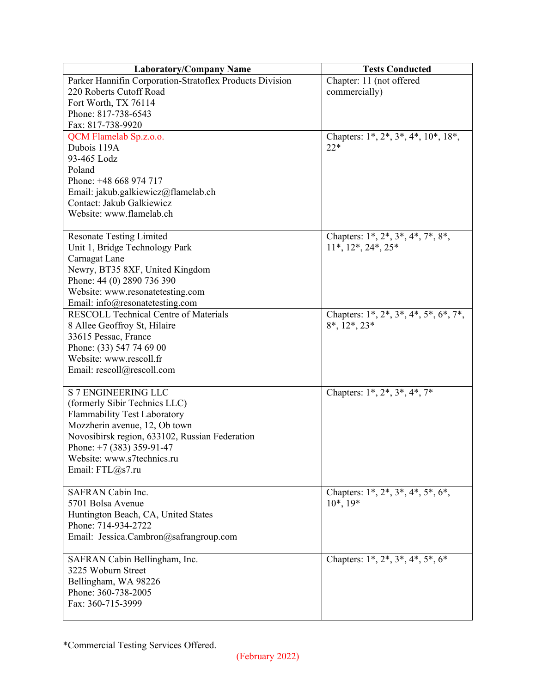| <b>Laboratory/Company Name</b>                             | <b>Tests Conducted</b>                                       |
|------------------------------------------------------------|--------------------------------------------------------------|
| Parker Hannifin Corporation-Stratoflex Products Division   | Chapter: 11 (not offered                                     |
| 220 Roberts Cutoff Road                                    | commercially)                                                |
| Fort Worth, TX 76114                                       |                                                              |
| Phone: 817-738-6543                                        |                                                              |
| Fax: 817-738-9920                                          |                                                              |
| QCM Flamelab Sp.z.o.o.                                     | Chapters: $1^*, 2^*, 3^*, 4^*, 10^*, 18^*,$                  |
| Dubois 119A                                                | $22*$                                                        |
| 93-465 Lodz                                                |                                                              |
| Poland                                                     |                                                              |
| Phone: +48 668 974 717                                     |                                                              |
| Email: jakub.galkiewicz@flamelab.ch                        |                                                              |
| Contact: Jakub Galkiewicz                                  |                                                              |
| Website: www.flamelab.ch                                   |                                                              |
|                                                            |                                                              |
| <b>Resonate Testing Limited</b>                            | Chapters: 1*, 2*, 3*, 4*, 7*, 8*,                            |
| Unit 1, Bridge Technology Park                             | $11^*, 12^*, 24^*, 25^*$                                     |
| Carnagat Lane                                              |                                                              |
| Newry, BT35 8XF, United Kingdom                            |                                                              |
| Phone: 44 (0) 2890 736 390                                 |                                                              |
| Website: www.resonatetesting.com                           |                                                              |
| Email: info@resonatetesting.com                            |                                                              |
| <b>RESCOLL Technical Centre of Materials</b>               | Chapters: 1*, 2*, 3*, 4*, 5*, 6*, 7*,                        |
| 8 Allee Geoffroy St, Hilaire                               | $8^*, 12^*, 23^*$                                            |
| 33615 Pessac, France                                       |                                                              |
| Phone: (33) 547 74 69 00                                   |                                                              |
| Website: www.rescoll.fr                                    |                                                              |
| Email: rescoll@rescoll.com                                 |                                                              |
|                                                            |                                                              |
| S 7 ENGINEERING LLC                                        | Chapters: 1*, 2*, 3*, 4*, 7*                                 |
| (formerly Sibir Technics LLC)                              |                                                              |
| <b>Flammability Test Laboratory</b>                        |                                                              |
| Mozzherin avenue, 12, Ob town                              |                                                              |
| Novosibirsk region, 633102, Russian Federation             |                                                              |
| Phone: $+7$ (383) 359-91-47                                |                                                              |
| Website: www.s7technics.ru                                 |                                                              |
| Email: FTL@s7.ru                                           |                                                              |
| SAFRAN Cabin Inc.                                          |                                                              |
| 5701 Bolsa Avenue                                          | Chapters: $1^*, 2^*, 3^*, 4^*, 5^*, 6^*,$<br>$10^*$ , $19^*$ |
|                                                            |                                                              |
| Huntington Beach, CA, United States<br>Phone: 714-934-2722 |                                                              |
| Email: Jessica.Cambron@safrangroup.com                     |                                                              |
|                                                            |                                                              |
| SAFRAN Cabin Bellingham, Inc.                              | Chapters: $1^*, 2^*, 3^*, 4^*, 5^*, 6^*$                     |
| 3225 Woburn Street                                         |                                                              |
| Bellingham, WA 98226                                       |                                                              |
| Phone: 360-738-2005                                        |                                                              |
| Fax: 360-715-3999                                          |                                                              |
|                                                            |                                                              |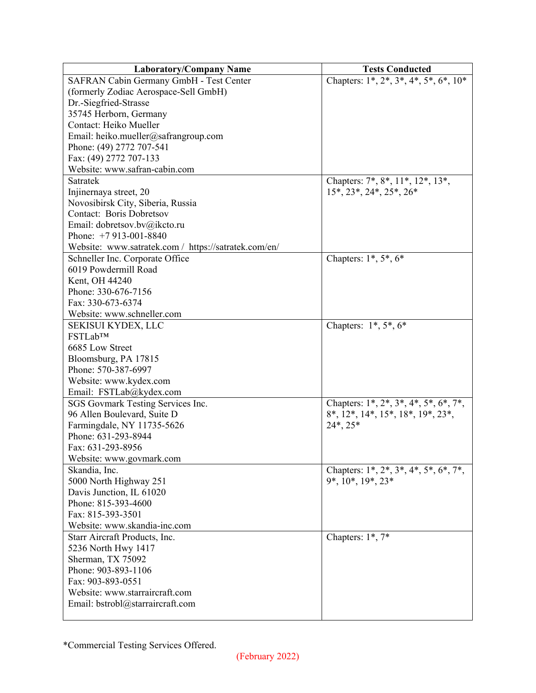| <b>Laboratory/Company Name</b>                       | <b>Tests Conducted</b>                                            |
|------------------------------------------------------|-------------------------------------------------------------------|
| SAFRAN Cabin Germany GmbH - Test Center              | Chapters: $1^*, 2^*, 3^*, 4^*, 5^*, 6^*, 10^*$                    |
| (formerly Zodiac Aerospace-Sell GmbH)                |                                                                   |
| Dr.-Siegfried-Strasse                                |                                                                   |
| 35745 Herborn, Germany                               |                                                                   |
| Contact: Heiko Mueller                               |                                                                   |
| Email: heiko.mueller@safrangroup.com                 |                                                                   |
| Phone: (49) 2772 707-541                             |                                                                   |
| Fax: (49) 2772 707-133                               |                                                                   |
| Website: www.safran-cabin.com                        |                                                                   |
| Satratek                                             | Chapters: 7*, 8*, 11*, 12*, 13*,                                  |
| Injinernaya street, 20                               | $15^*$ , $23^*$ , $24^*$ , $25^*$ , $26^*$                        |
| Novosibirsk City, Siberia, Russia                    |                                                                   |
| <b>Contact: Boris Dobretsov</b>                      |                                                                   |
| Email: dobretsov.bv@ikcto.ru                         |                                                                   |
| Phone: $+7913-001-8840$                              |                                                                   |
| Website: www.satratek.com / https://satratek.com/en/ |                                                                   |
| Schneller Inc. Corporate Office                      | Chapters: $1^*, 5^*, 6^*$                                         |
| 6019 Powdermill Road                                 |                                                                   |
| Kent, OH 44240                                       |                                                                   |
| Phone: 330-676-7156                                  |                                                                   |
| Fax: 330-673-6374                                    |                                                                   |
| Website: www.schneller.com                           |                                                                   |
| SEKISUI KYDEX, LLC                                   | Chapters: $1^*, 5^*, 6^*$                                         |
| FSTLab™                                              |                                                                   |
| 6685 Low Street                                      |                                                                   |
| Bloomsburg, PA 17815                                 |                                                                   |
| Phone: 570-387-6997                                  |                                                                   |
| Website: www.kydex.com                               |                                                                   |
| Email: FSTLab@kydex.com                              |                                                                   |
| SGS Govmark Testing Services Inc.                    | Chapters: $1^*$ , $2^*$ , $3^*$ , $4^*$ , $5^*$ , $6^*$ , $7^*$ , |
| 96 Allen Boulevard, Suite D                          | $8^*$ , $12^*$ , $14^*$ , $15^*$ , $18^*$ , $19^*$ , $23^*$ ,     |
| Farmingdale, NY 11735-5626                           | $24^*$ , $25^*$                                                   |
| Phone: 631-293-8944                                  |                                                                   |
| Fax: 631-293-8956                                    |                                                                   |
| Website: www.govmark.com                             |                                                                   |
| Skandia, Inc.                                        | Chapters: $1^*, 2^*, 3^*, 4^*, 5^*, 6^*, 7^*,$                    |
| 5000 North Highway 251                               | $9^*, 10^*, 19^*, 23^*$                                           |
| Davis Junction, IL 61020                             |                                                                   |
| Phone: 815-393-4600                                  |                                                                   |
| Fax: 815-393-3501                                    |                                                                   |
| Website: www.skandia-inc.com                         |                                                                   |
| Starr Aircraft Products, Inc.                        | Chapters: $1^*$ , $7^*$                                           |
| 5236 North Hwy 1417                                  |                                                                   |
| Sherman, TX 75092                                    |                                                                   |
| Phone: 903-893-1106                                  |                                                                   |
| Fax: 903-893-0551                                    |                                                                   |
| Website: www.starraircraft.com                       |                                                                   |
| Email: bstrobl@starraircraft.com                     |                                                                   |
|                                                      |                                                                   |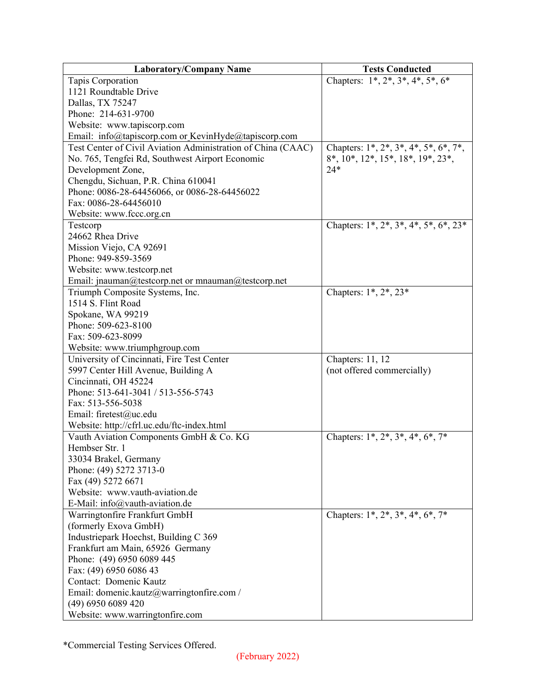| <b>Laboratory/Company Name</b>                               | <b>Tests Conducted</b>                         |
|--------------------------------------------------------------|------------------------------------------------|
| Tapis Corporation                                            | Chapters: $1^*, 2^*, 3^*, 4^*, 5^*, 6^*$       |
| 1121 Roundtable Drive                                        |                                                |
| Dallas, TX 75247                                             |                                                |
| Phone: 214-631-9700                                          |                                                |
| Website: www.tapiscorp.com                                   |                                                |
| Email: info@tapiscorp.com or KevinHyde@tapiscorp.com         |                                                |
| Test Center of Civil Aviation Administration of China (CAAC) | Chapters: 1*, 2*, 3*, 4*, 5*, 6*, 7*,          |
| No. 765, Tengfei Rd, Southwest Airport Economic              | 8*, 10*, 12*, 15*, 18*, 19*, 23*,              |
| Development Zone,                                            | $24*$                                          |
| Chengdu, Sichuan, P.R. China 610041                          |                                                |
| Phone: 0086-28-64456066, or 0086-28-64456022                 |                                                |
| Fax: 0086-28-64456010                                        |                                                |
| Website: www.fccc.org.cn                                     |                                                |
| Testcorp                                                     | Chapters: $1^*, 2^*, 3^*, 4^*, 5^*, 6^*, 23^*$ |
| 24662 Rhea Drive                                             |                                                |
| Mission Viejo, CA 92691                                      |                                                |
| Phone: 949-859-3569                                          |                                                |
| Website: www.testcorp.net                                    |                                                |
| Email: jnauman@testcorp.net or mnauman@testcorp.net          |                                                |
| Triumph Composite Systems, Inc.                              | Chapters: 1*, 2*, 23*                          |
| 1514 S. Flint Road                                           |                                                |
| Spokane, WA 99219                                            |                                                |
| Phone: 509-623-8100                                          |                                                |
| Fax: 509-623-8099                                            |                                                |
| Website: www.triumphgroup.com                                |                                                |
| University of Cincinnati, Fire Test Center                   | Chapters: 11, 12                               |
| 5997 Center Hill Avenue, Building A                          | (not offered commercially)                     |
| Cincinnati, OH 45224                                         |                                                |
| Phone: 513-641-3041 / 513-556-5743                           |                                                |
| Fax: 513-556-5038                                            |                                                |
| Email: firetest@uc.edu                                       |                                                |
| Website: http://cfrl.uc.edu/ftc-index.html                   |                                                |
| Vauth Aviation Components GmbH & Co. KG                      | Chapters: $1^*, 2^*, 3^*, 4^*, 6^*, 7^*$       |
| Hembser Str. 1                                               |                                                |
| 33034 Brakel, Germany                                        |                                                |
| Phone: (49) 5272 3713-0                                      |                                                |
| Fax (49) 5272 6671                                           |                                                |
| Website: www.vauth-aviation.de                               |                                                |
| E-Mail: info@vauth-aviation.de                               |                                                |
| Warringtonfire Frankfurt GmbH                                | Chapters: $1^*, 2^*, 3^*, 4^*, 6^*, 7^*$       |
| (formerly Exova GmbH)                                        |                                                |
| Industriepark Hoechst, Building C 369                        |                                                |
| Frankfurt am Main, 65926 Germany                             |                                                |
| Phone: (49) 6950 6089 445                                    |                                                |
| Fax: (49) 6950 6086 43                                       |                                                |
| Contact: Domenic Kautz                                       |                                                |
| Email: domenic.kautz@warringtonfire.com /                    |                                                |
| (49) 6950 6089 420                                           |                                                |
| Website: www.warringtonfire.com                              |                                                |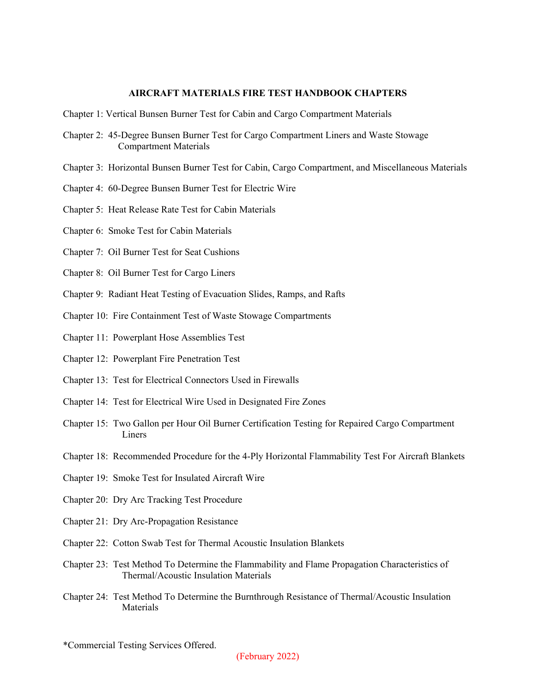## **AIRCRAFT MATERIALS FIRE TEST HANDBOOK CHAPTERS**

- Chapter 1: Vertical Bunsen Burner Test for Cabin and Cargo Compartment Materials
- Chapter 2: 45-Degree Bunsen Burner Test for Cargo Compartment Liners and Waste Stowage Compartment Materials
- Chapter 3: Horizontal Bunsen Burner Test for Cabin, Cargo Compartment, and Miscellaneous Materials
- Chapter 4: 60-Degree Bunsen Burner Test for Electric Wire
- Chapter 5: Heat Release Rate Test for Cabin Materials
- Chapter 6: Smoke Test for Cabin Materials
- Chapter 7: Oil Burner Test for Seat Cushions
- Chapter 8: Oil Burner Test for Cargo Liners
- Chapter 9: Radiant Heat Testing of Evacuation Slides, Ramps, and Rafts
- Chapter 10: Fire Containment Test of Waste Stowage Compartments
- Chapter 11: Powerplant Hose Assemblies Test
- Chapter 12: Powerplant Fire Penetration Test
- Chapter 13: Test for Electrical Connectors Used in Firewalls
- Chapter 14: Test for Electrical Wire Used in Designated Fire Zones
- Chapter 15: Two Gallon per Hour Oil Burner Certification Testing for Repaired Cargo Compartment Liners
- Chapter 18: Recommended Procedure for the 4-Ply Horizontal Flammability Test For Aircraft Blankets
- Chapter 19: Smoke Test for Insulated Aircraft Wire
- Chapter 20: Dry Arc Tracking Test Procedure
- Chapter 21: Dry Arc-Propagation Resistance
- Chapter 22: Cotton Swab Test for Thermal Acoustic Insulation Blankets
- Chapter 23: Test Method To Determine the Flammability and Flame Propagation Characteristics of Thermal/Acoustic Insulation Materials
- Chapter 24: Test Method To Determine the Burnthrough Resistance of Thermal/Acoustic Insulation Materials

<sup>\*</sup>Commercial Testing Services Offered.